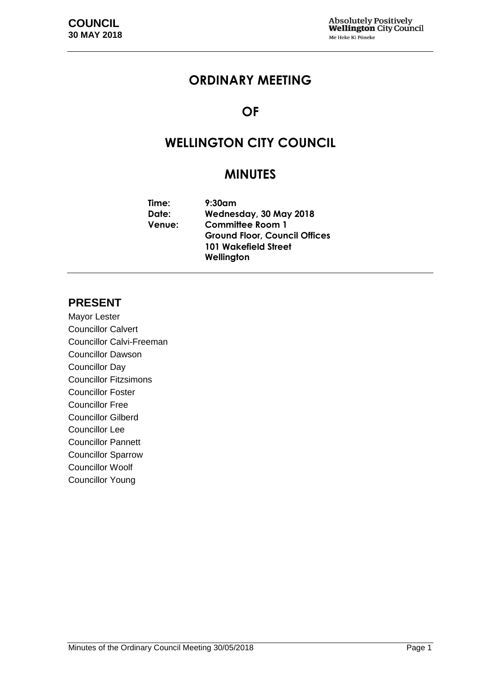# **ORDINARY MEETING**

# **OF**

# **WELLINGTON CITY COUNCIL**

# **MINUTES**

| Time:         | $9:30$ am                            |
|---------------|--------------------------------------|
| Date:         | Wednesday, 30 May 2018               |
| <b>Venue:</b> | <b>Committee Room 1</b>              |
|               | <b>Ground Floor, Council Offices</b> |
|               | <b>101 Wakefield Street</b>          |
|               | Wellington                           |

## **PRESENT**

Mayor Lester Councillor Calvert Councillor Calvi-Freeman Councillor Dawson Councillor Day Councillor Fitzsimons Councillor Foster Councillor Free Councillor Gilberd Councillor Lee Councillor Pannett Councillor Sparrow Councillor Woolf Councillor Young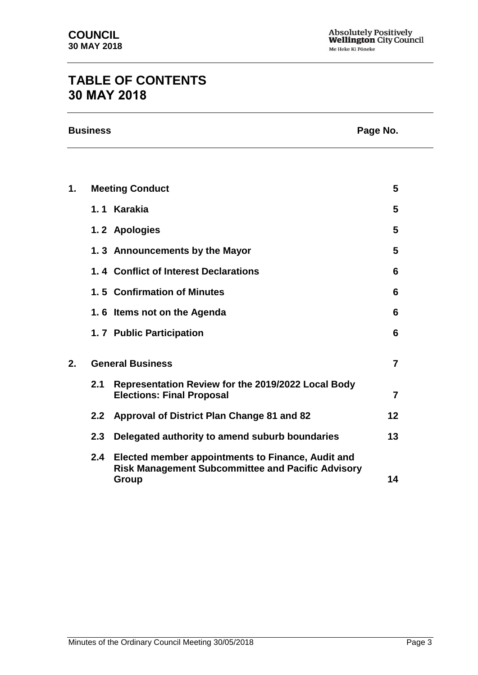# **TABLE OF CONTENTS 30 MAY 2018**

| <b>Business</b> | Page No. |
|-----------------|----------|
|                 |          |

| 1. |                  | <b>Meeting Conduct</b>                                                                                                 | 5  |
|----|------------------|------------------------------------------------------------------------------------------------------------------------|----|
|    |                  | 1.1 Karakia                                                                                                            | 5  |
|    |                  | 1.2 Apologies                                                                                                          | 5  |
|    |                  | 1.3 Announcements by the Mayor                                                                                         | 5  |
|    |                  | 1.4 Conflict of Interest Declarations                                                                                  | 6  |
|    |                  | 1.5 Confirmation of Minutes                                                                                            | 6  |
|    |                  | 1.6 Items not on the Agenda                                                                                            | 6  |
|    |                  | 1.7 Public Participation                                                                                               | 6  |
| 2. |                  | <b>General Business</b>                                                                                                | 7  |
|    | 2.1              | Representation Review for the 2019/2022 Local Body<br><b>Elections: Final Proposal</b>                                 | 7  |
|    | 2.2              | Approval of District Plan Change 81 and 82                                                                             | 12 |
|    | 2.3 <sub>2</sub> | Delegated authority to amend suburb boundaries                                                                         | 13 |
|    | 2.4              | Elected member appointments to Finance, Audit and<br><b>Risk Management Subcommittee and Pacific Advisory</b><br>Group | 14 |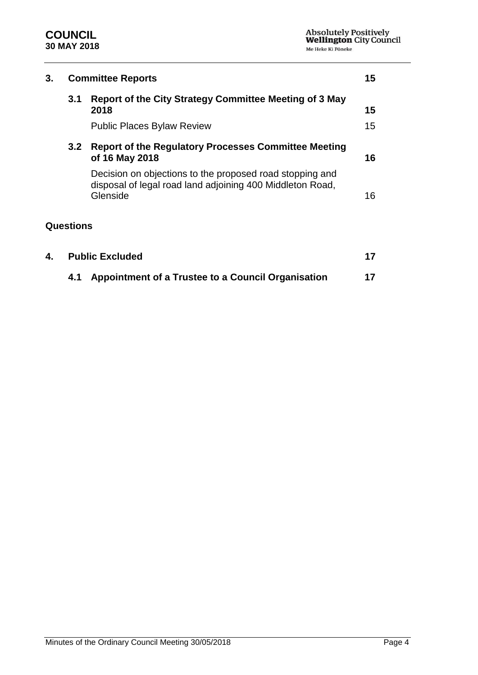

| 3. | <b>Committee Reports</b>                                                                          |                                                                                                                                   |    |
|----|---------------------------------------------------------------------------------------------------|-----------------------------------------------------------------------------------------------------------------------------------|----|
|    | 3.1                                                                                               | <b>Report of the City Strategy Committee Meeting of 3 May</b><br>2018                                                             | 15 |
|    |                                                                                                   | <b>Public Places Bylaw Review</b>                                                                                                 | 15 |
|    | <b>Report of the Regulatory Processes Committee Meeting</b><br>3.2 <sub>2</sub><br>of 16 May 2018 |                                                                                                                                   | 16 |
|    |                                                                                                   | Decision on objections to the proposed road stopping and<br>disposal of legal road land adjoining 400 Middleton Road,<br>Glenside | 16 |
|    | <b>Questions</b>                                                                                  |                                                                                                                                   |    |
| 4. |                                                                                                   | <b>Public Excluded</b>                                                                                                            |    |

**4.1 Appointment of a Trustee to a Council Organisation [17](#page-16-1)**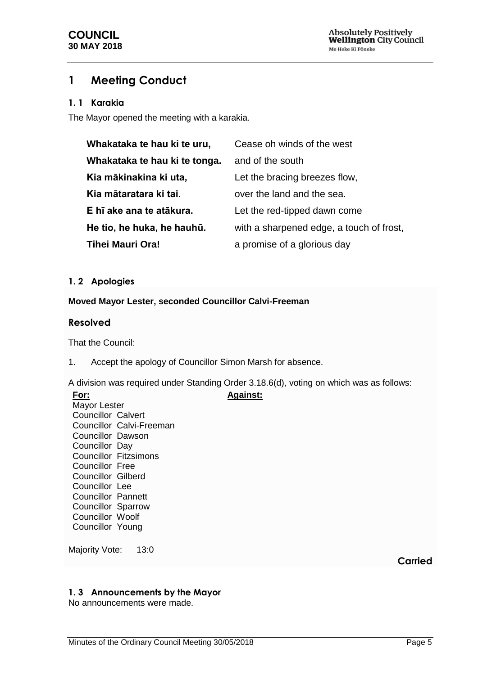# <span id="page-4-0"></span>**1 Meeting Conduct**

#### <span id="page-4-1"></span>**1. 1 Karakia**

The Mayor opened the meeting with a karakia.

| Whakataka te hau ki te uru,   | Cease oh winds of the west               |
|-------------------------------|------------------------------------------|
| Whakataka te hau ki te tonga. | and of the south                         |
| Kia mākinakina ki uta,        | Let the bracing breezes flow.            |
| Kia mātaratara ki tai.        | over the land and the sea.               |
| E hī ake ana te atākura.      | Let the red-tipped dawn come             |
| He tio, he huka, he hauhū.    | with a sharpened edge, a touch of frost, |
| <b>Tihei Mauri Ora!</b>       | a promise of a glorious day              |

#### **1. 2 Apologies**

#### **Moved Mayor Lester, seconded Councillor Calvi-Freeman**

#### **Resolved**

That the Council:

1. Accept the apology of Councillor Simon Marsh for absence.

A division was required under Standing Order 3.18.6(d), voting on which was as follows:

**Against:**

**For:** Mayor Lester Councillor Calvert Councillor Calvi-Freeman Councillor Dawson Councillor Day Councillor Fitzsimons Councillor Free Councillor Gilberd Councillor Lee Councillor Pannett Councillor Sparrow Councillor Woolf Councillor Young

Majority Vote: 13:0

**Carried**

#### <span id="page-4-2"></span>**1. 3 Announcements by the Mayor**

No announcements were made.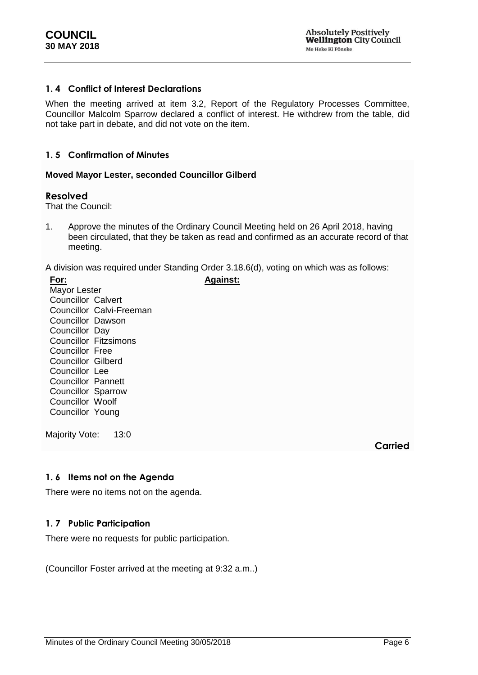#### <span id="page-5-0"></span>**1. 4 Conflict of Interest Declarations**

When the meeting arrived at item 3.2, Report of the Regulatory Processes Committee, Councillor Malcolm Sparrow declared a conflict of interest. He withdrew from the table, did not take part in debate, and did not vote on the item.

#### <span id="page-5-1"></span>**1. 5 Confirmation of Minutes**

#### **Moved Mayor Lester, seconded Councillor Gilberd**

#### **Resolved**

That the Council:

1. Approve the minutes of the Ordinary Council Meeting held on 26 April 2018, having been circulated, that they be taken as read and confirmed as an accurate record of that meeting.

A division was required under Standing Order 3.18.6(d), voting on which was as follows:

**Against:**

**For:** Mayor Lester Councillor Calvert Councillor Calvi-Freeman Councillor Dawson Councillor Day Councillor Fitzsimons Councillor Free Councillor Gilberd Councillor Lee Councillor Pannett Councillor Sparrow Councillor Woolf Councillor Young

Majority Vote: 13:0

**Carried**

#### <span id="page-5-2"></span>**1. 6 Items not on the Agenda**

There were no items not on the agenda.

#### <span id="page-5-3"></span>**1. 7 Public Participation**

There were no requests for public participation.

(Councillor Foster arrived at the meeting at 9:32 a.m..)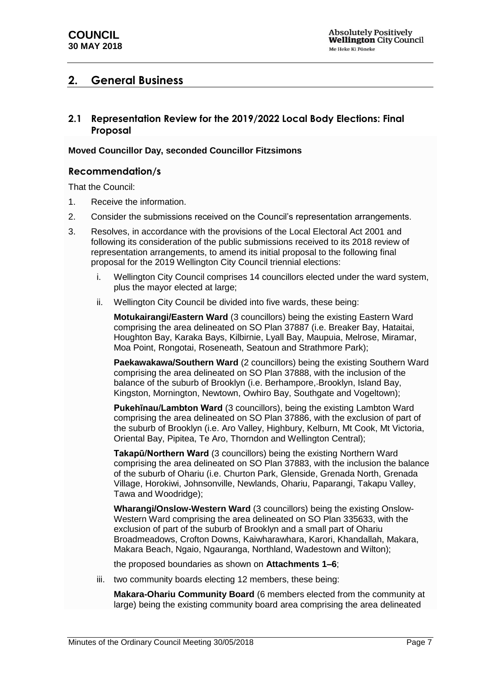## <span id="page-6-0"></span>**2. General Business**

<span id="page-6-1"></span>**2.1 Representation Review for the 2019/2022 Local Body Elections: Final Proposal**

#### **Moved Councillor Day, seconded Councillor Fitzsimons**

#### **Recommendation/s**

That the Council:

- 1. Receive the information.
- 2. Consider the submissions received on the Council's representation arrangements.
- 3. Resolves, in accordance with the provisions of the Local Electoral Act 2001 and following its consideration of the public submissions received to its 2018 review of representation arrangements, to amend its initial proposal to the following final proposal for the 2019 Wellington City Council triennial elections:
	- i. Wellington City Council comprises 14 councillors elected under the ward system, plus the mayor elected at large;
	- ii. Wellington City Council be divided into five wards, these being:

**Motukairangi/Eastern Ward** (3 councillors) being the existing Eastern Ward comprising the area delineated on SO Plan 37887 (i.e. Breaker Bay, Hataitai, Houghton Bay, Karaka Bays, Kilbirnie, Lyall Bay, Maupuia, Melrose, Miramar, Moa Point, Rongotai, Roseneath, Seatoun and Strathmore Park);

**Paekawakawa/Southern Ward** (2 councillors) being the existing Southern Ward comprising the area delineated on SO Plan 37888, with the inclusion of the balance of the suburb of Brooklyn (i.e. Berhampore, Brooklyn, Island Bay, Kingston, Mornington, Newtown, Owhiro Bay, Southgate and Vogeltown);

**Pukehīnau/Lambton Ward** (3 councillors), being the existing Lambton Ward comprising the area delineated on SO Plan 37886, with the exclusion of part of the suburb of Brooklyn (i.e. Aro Valley, Highbury, Kelburn, Mt Cook, Mt Victoria, Oriental Bay, Pipitea, Te Aro, Thorndon and Wellington Central);

**Takapū/Northern Ward** (3 councillors) being the existing Northern Ward comprising the area delineated on SO Plan 37883, with the inclusion the balance of the suburb of Ohariu (i.e. Churton Park, Glenside, Grenada North, Grenada Village, Horokiwi, Johnsonville, Newlands, Ohariu, Paparangi, Takapu Valley, Tawa and Woodridge);

**Wharangi/Onslow-Western Ward** (3 councillors) being the existing Onslow-Western Ward comprising the area delineated on SO Plan 335633, with the exclusion of part of the suburb of Brooklyn and a small part of Ohariu Broadmeadows, Crofton Downs, Kaiwharawhara, Karori, Khandallah, Makara, Makara Beach, Ngaio, Ngauranga, Northland, Wadestown and Wilton);

the proposed boundaries as shown on **Attachments 1–6**;

iii. two community boards electing 12 members, these being:

**Makara-Ohariu Community Board** (6 members elected from the community at large) being the existing community board area comprising the area delineated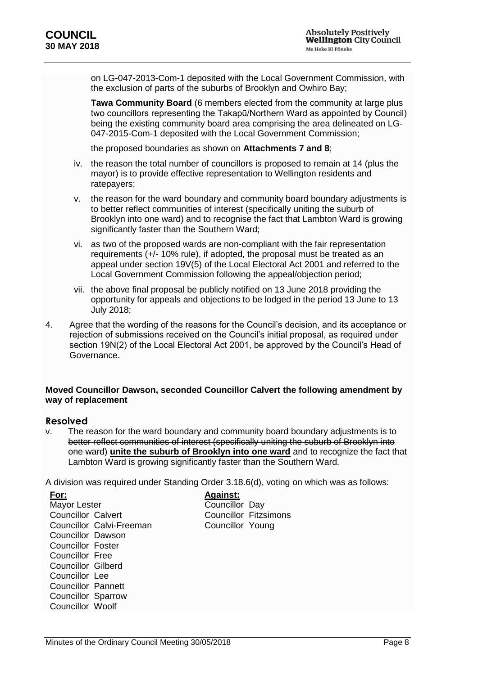on LG-047-2013-Com-1 deposited with the Local Government Commission, with the exclusion of parts of the suburbs of Brooklyn and Owhiro Bay;

**Tawa Community Board** (6 members elected from the community at large plus two councillors representing the Takapū/Northern Ward as appointed by Council) being the existing community board area comprising the area delineated on LG-047-2015-Com-1 deposited with the Local Government Commission;

the proposed boundaries as shown on **Attachments 7 and 8**;

- iv. the reason the total number of councillors is proposed to remain at 14 (plus the mayor) is to provide effective representation to Wellington residents and ratepayers;
- v. the reason for the ward boundary and community board boundary adjustments is to better reflect communities of interest (specifically uniting the suburb of Brooklyn into one ward) and to recognise the fact that Lambton Ward is growing significantly faster than the Southern Ward;
- vi. as two of the proposed wards are non-compliant with the fair representation requirements (+/- 10% rule), if adopted, the proposal must be treated as an appeal under section 19V(5) of the Local Electoral Act 2001 and referred to the Local Government Commission following the appeal/objection period;
- vii. the above final proposal be publicly notified on 13 June 2018 providing the opportunity for appeals and objections to be lodged in the period 13 June to 13 July 2018;
- 4. Agree that the wording of the reasons for the Council's decision, and its acceptance or rejection of submissions received on the Council's initial proposal, as required under section 19N(2) of the Local Electoral Act 2001, be approved by the Council's Head of Governance.

#### **Moved Councillor Dawson, seconded Councillor Calvert the following amendment by way of replacement**

#### **Resolved**

v. The reason for the ward boundary and community board boundary adjustments is to better reflect communities of interest (specifically uniting the suburb of Brooklyn into one ward) **unite the suburb of Brooklyn into one ward** and to recognize the fact that Lambton Ward is growing significantly faster than the Southern Ward.

A division was required under Standing Order 3.18.6(d), voting on which was as follows:

**For:** Mayor Lester Councillor Calvert Councillor Calvi-Freeman Councillor Dawson Councillor Foster Councillor Free Councillor Gilberd Councillor Lee Councillor Pannett Councillor Sparrow Councillor Woolf

**Against:** Councillor Day Councillor Fitzsimons Councillor Young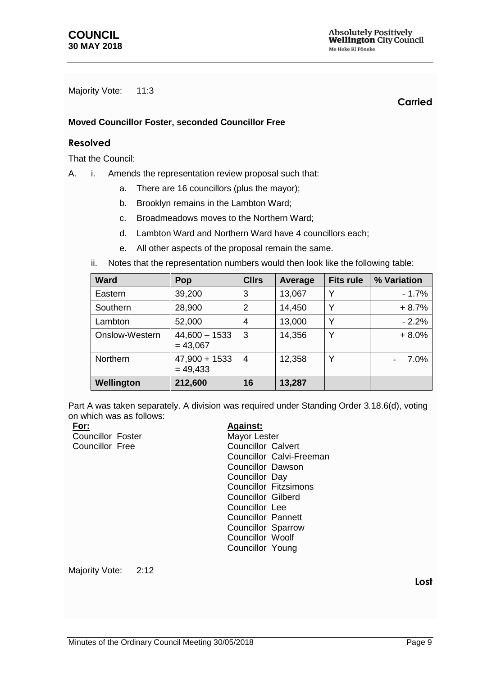Majority Vote: 11:3

**Carried**

#### **Moved Councillor Foster, seconded Councillor Free**

#### **Resolved**

That the Council:

- A. i. Amends the representation review proposal such that:
	- a. There are 16 councillors (plus the mayor);
	- b. Brooklyn remains in the Lambton Ward;
	- c. Broadmeadows moves to the Northern Ward;
	- d. Lambton Ward and Northern Ward have 4 councillors each;
	- e. All other aspects of the proposal remain the same.
	- ii. Notes that the representation numbers would then look like the following table:

| <b>Ward</b>     | Pop                           | <b>Cllrs</b>   | Average | <b>Fits rule</b> | % Variation |
|-----------------|-------------------------------|----------------|---------|------------------|-------------|
| Eastern         | 39,200                        | 3              | 13,067  | Υ                | $-1.7%$     |
| Southern        | 28,900                        | $\overline{2}$ | 14,450  | Y                | $+8.7%$     |
| Lambton         | 52,000                        | 4              | 13,000  | Υ                | $-2.2%$     |
| Onslow-Western  | $44,600 - 1533$<br>$= 43,067$ | 3              | 14,356  | Υ                | $+8.0%$     |
| <b>Northern</b> | $47,900 + 1533$<br>$= 49,433$ | 4              | 12,358  | Y                | 7.0%        |
| Wellington      | 212,600                       | 16             | 13,287  |                  |             |

Part A was taken separately. A division was required under Standing Order 3.18.6(d), voting on which was as follows:

| For:                     | <b>Against:</b>              |
|--------------------------|------------------------------|
| <b>Councillor Foster</b> | Mayor Lester                 |
| Councillor Free          | <b>Councillor Calvert</b>    |
|                          | Councillor Calvi-Freeman     |
|                          | Councillor Dawson            |
|                          | Councillor Day               |
|                          | <b>Councillor Fitzsimons</b> |
|                          | Councillor Gilberd           |
|                          | Councillor Lee               |
|                          | Councillor Pannett           |
|                          | Councillor Sparrow           |
|                          | <b>Councillor Woolf</b>      |
|                          | Councillor Young             |
|                          |                              |
|                          |                              |

Majority Vote: 2:12

**Lost**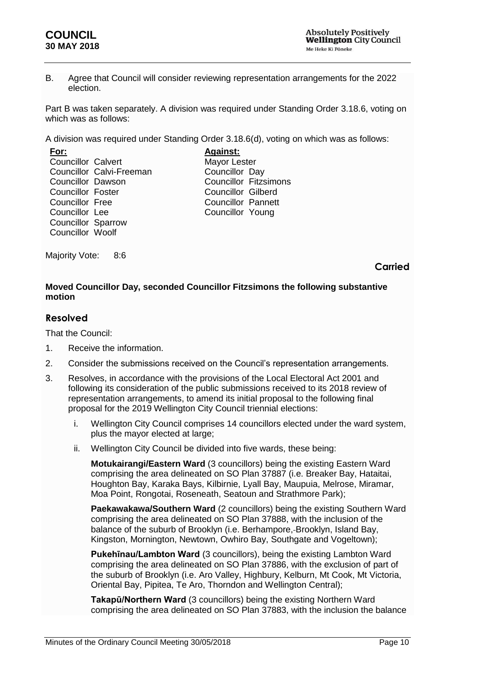#### **COUNCIL 30 MAY 2018**

B. Agree that Council will consider reviewing representation arrangements for the 2022 election.

Part B was taken separately. A division was required under Standing Order 3.18.6, voting on which was as follows:

A division was required under Standing Order 3.18.6(d), voting on which was as follows:

| <b>Councillor Calvert</b> |
|---------------------------|
| Councillor Calvi-Freeman  |
| <b>Councillor Dawson</b>  |
| Councillor Foster         |
| <b>Councillor Free</b>    |
| Councillor Lee            |
| <b>Councillor Sparrow</b> |
| Councillor Woolf          |
|                           |

**Against:** Mayor Lester Councillor Day Councillor Fitzsimons Councillor Gilberd Councillor Pannett Councillor Young

Majority Vote: 8:6

#### **Carried**

#### **Moved Councillor Day, seconded Councillor Fitzsimons the following substantive motion**

#### **Resolved**

That the Council:

- 1. Receive the information.
- 2. Consider the submissions received on the Council's representation arrangements.
- 3. Resolves, in accordance with the provisions of the Local Electoral Act 2001 and following its consideration of the public submissions received to its 2018 review of representation arrangements, to amend its initial proposal to the following final proposal for the 2019 Wellington City Council triennial elections:
	- i. Wellington City Council comprises 14 councillors elected under the ward system, plus the mayor elected at large;
	- ii. Wellington City Council be divided into five wards, these being:

**Motukairangi/Eastern Ward** (3 councillors) being the existing Eastern Ward comprising the area delineated on SO Plan 37887 (i.e. Breaker Bay, Hataitai, Houghton Bay, Karaka Bays, Kilbirnie, Lyall Bay, Maupuia, Melrose, Miramar, Moa Point, Rongotai, Roseneath, Seatoun and Strathmore Park);

**Paekawakawa/Southern Ward** (2 councillors) being the existing Southern Ward comprising the area delineated on SO Plan 37888, with the inclusion of the balance of the suburb of Brooklyn (i.e. Berhampore,-Brooklyn, Island Bay, Kingston, Mornington, Newtown, Owhiro Bay, Southgate and Vogeltown);

**Pukehīnau/Lambton Ward** (3 councillors), being the existing Lambton Ward comprising the area delineated on SO Plan 37886, with the exclusion of part of the suburb of Brooklyn (i.e. Aro Valley, Highbury, Kelburn, Mt Cook, Mt Victoria, Oriental Bay, Pipitea, Te Aro, Thorndon and Wellington Central);

**Takapū/Northern Ward** (3 councillors) being the existing Northern Ward comprising the area delineated on SO Plan 37883, with the inclusion the balance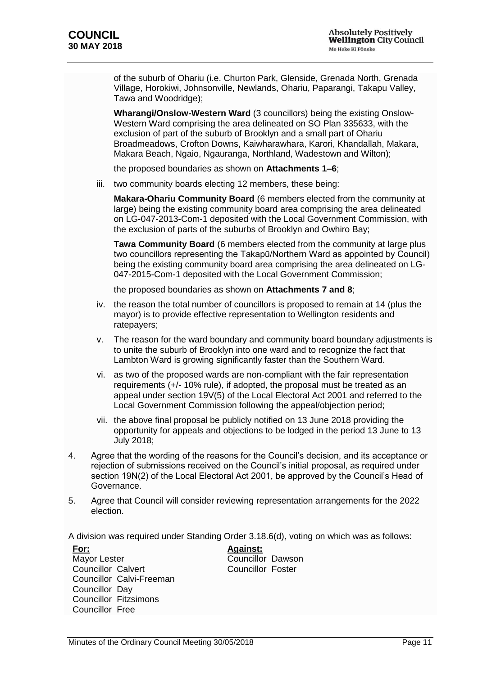of the suburb of Ohariu (i.e. Churton Park, Glenside, Grenada North, Grenada Village, Horokiwi, Johnsonville, Newlands, Ohariu, Paparangi, Takapu Valley, Tawa and Woodridge);

**Wharangi/Onslow-Western Ward** (3 councillors) being the existing Onslow-Western Ward comprising the area delineated on SO Plan 335633, with the exclusion of part of the suburb of Brooklyn and a small part of Ohariu Broadmeadows, Crofton Downs, Kaiwharawhara, Karori, Khandallah, Makara, Makara Beach, Ngaio, Ngauranga, Northland, Wadestown and Wilton);

the proposed boundaries as shown on **Attachments 1–6**;

iii. two community boards electing 12 members, these being:

**Makara-Ohariu Community Board** (6 members elected from the community at large) being the existing community board area comprising the area delineated on LG-047-2013-Com-1 deposited with the Local Government Commission, with the exclusion of parts of the suburbs of Brooklyn and Owhiro Bay;

**Tawa Community Board** (6 members elected from the community at large plus two councillors representing the Takapū/Northern Ward as appointed by Council) being the existing community board area comprising the area delineated on LG-047-2015-Com-1 deposited with the Local Government Commission;

the proposed boundaries as shown on **Attachments 7 and 8**;

- iv. the reason the total number of councillors is proposed to remain at 14 (plus the mayor) is to provide effective representation to Wellington residents and ratepayers;
- v. The reason for the ward boundary and community board boundary adjustments is to unite the suburb of Brooklyn into one ward and to recognize the fact that Lambton Ward is growing significantly faster than the Southern Ward.
- vi. as two of the proposed wards are non-compliant with the fair representation requirements (+/- 10% rule), if adopted, the proposal must be treated as an appeal under section 19V(5) of the Local Electoral Act 2001 and referred to the Local Government Commission following the appeal/objection period;
- vii. the above final proposal be publicly notified on 13 June 2018 providing the opportunity for appeals and objections to be lodged in the period 13 June to 13 July 2018;
- 4. Agree that the wording of the reasons for the Council's decision, and its acceptance or rejection of submissions received on the Council's initial proposal, as required under section 19N(2) of the Local Electoral Act 2001, be approved by the Council's Head of Governance.
- 5. Agree that Council will consider reviewing representation arrangements for the 2022 election.

A division was required under Standing Order 3.18.6(d), voting on which was as follows:

**For:** Mayor Lester Councillor Calvert Councillor Calvi-Freeman Councillor Day Councillor Fitzsimons Councillor Free

**Against:** Councillor Dawson Councillor Foster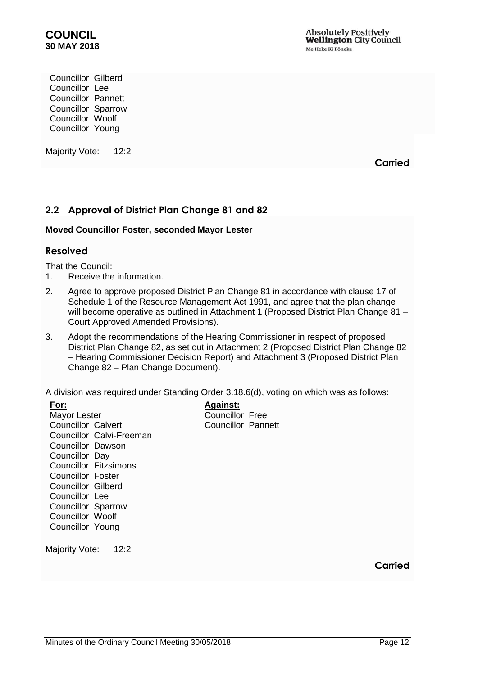Councillor Gilberd Councillor Lee Councillor Pannett Councillor Sparrow Councillor Woolf Councillor Young

Majority Vote: 12:2

**Carried**

## <span id="page-11-0"></span>**2.2 Approval of District Plan Change 81 and 82**

#### **Moved Councillor Foster, seconded Mayor Lester**

#### **Resolved**

That the Council:

- 1. Receive the information.
- 2. Agree to approve proposed District Plan Change 81 in accordance with clause 17 of Schedule 1 of the Resource Management Act 1991, and agree that the plan change will become operative as outlined in Attachment 1 (Proposed District Plan Change 81 – Court Approved Amended Provisions).
- 3. Adopt the recommendations of the Hearing Commissioner in respect of proposed District Plan Change 82, as set out in Attachment 2 (Proposed District Plan Change 82 – Hearing Commissioner Decision Report) and Attachment 3 (Proposed District Plan Change 82 – Plan Change Document).

A division was required under Standing Order 3.18.6(d), voting on which was as follows:

| For:                         | <b>Against:</b>        |
|------------------------------|------------------------|
| Mayor Lester                 | <b>Councillor Free</b> |
| Councillor Calvert           | Councillor Pannett     |
| Councillor Calvi-Freeman     |                        |
| Councillor Dawson            |                        |
| Councillor Day               |                        |
| <b>Councillor Fitzsimons</b> |                        |
| Councillor Foster            |                        |
| Councillor Gilberd           |                        |
| Councillor Lee               |                        |
| <b>Councillor Sparrow</b>    |                        |
| Councillor Woolf             |                        |
| Councillor Young             |                        |
|                              |                        |
| Majority Vote:<br>12:2       |                        |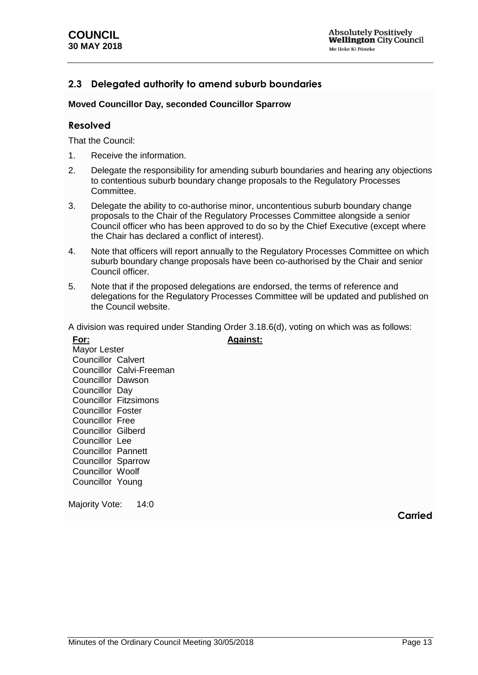## <span id="page-12-0"></span>**2.3 Delegated authority to amend suburb boundaries**

#### **Moved Councillor Day, seconded Councillor Sparrow**

#### **Resolved**

That the Council:

- 1. Receive the information.
- 2. Delegate the responsibility for amending suburb boundaries and hearing any objections to contentious suburb boundary change proposals to the Regulatory Processes Committee.
- 3. Delegate the ability to co-authorise minor, uncontentious suburb boundary change proposals to the Chair of the Regulatory Processes Committee alongside a senior Council officer who has been approved to do so by the Chief Executive (except where the Chair has declared a conflict of interest).
- 4. Note that officers will report annually to the Regulatory Processes Committee on which suburb boundary change proposals have been co-authorised by the Chair and senior Council officer.
- 5. Note that if the proposed delegations are endorsed, the terms of reference and delegations for the Regulatory Processes Committee will be updated and published on the Council website.

A division was required under Standing Order 3.18.6(d), voting on which was as follows: **Against:**

**For:** Mayor Lester Councillor Calvert Councillor Calvi-Freeman Councillor Dawson Councillor Day Councillor Fitzsimons Councillor Foster Councillor Free Councillor Gilberd Councillor Lee Councillor Pannett Councillor Sparrow Councillor Woolf Councillor Young

Majority Vote: 14:0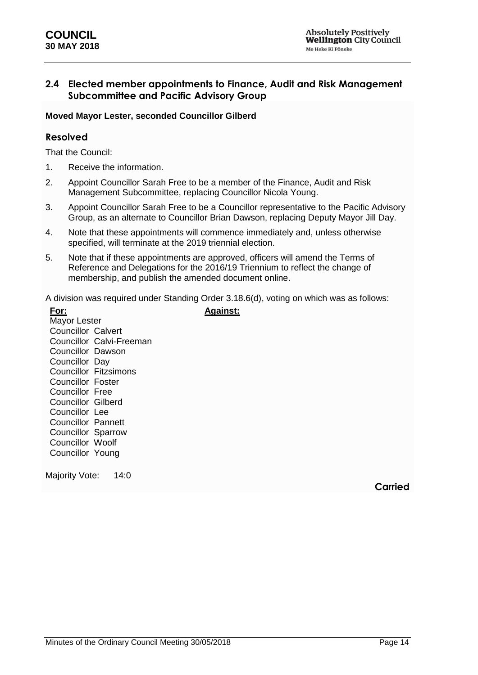#### <span id="page-13-0"></span>**2.4 Elected member appointments to Finance, Audit and Risk Management Subcommittee and Pacific Advisory Group**

#### **Moved Mayor Lester, seconded Councillor Gilberd**

#### **Resolved**

That the Council:

- 1. Receive the information.
- 2. Appoint Councillor Sarah Free to be a member of the Finance, Audit and Risk Management Subcommittee, replacing Councillor Nicola Young.
- 3. Appoint Councillor Sarah Free to be a Councillor representative to the Pacific Advisory Group, as an alternate to Councillor Brian Dawson, replacing Deputy Mayor Jill Day.
- 4. Note that these appointments will commence immediately and, unless otherwise specified, will terminate at the 2019 triennial election.
- 5. Note that if these appointments are approved, officers will amend the Terms of Reference and Delegations for the 2016/19 Triennium to reflect the change of membership, and publish the amended document online.

A division was required under Standing Order 3.18.6(d), voting on which was as follows:

**Against:**

**For:** Mayor Lester Councillor Calvert Councillor Calvi-Freeman Councillor Dawson Councillor Day Councillor Fitzsimons Councillor Foster Councillor Free Councillor Gilberd Councillor Lee Councillor Pannett Councillor Sparrow Councillor Woolf Councillor Young

Majority Vote: 14:0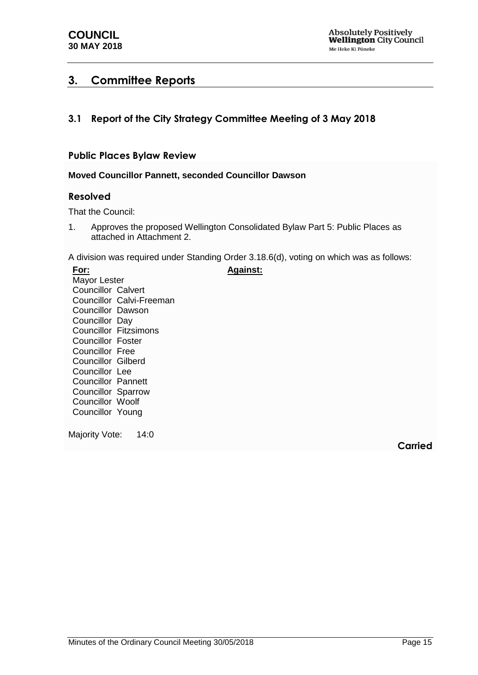## <span id="page-14-0"></span>**3. Committee Reports**

## <span id="page-14-1"></span>**3.1 Report of the City Strategy Committee Meeting of 3 May 2018**

#### **Public Places Bylaw Review**

#### <span id="page-14-2"></span>**Moved Councillor Pannett, seconded Councillor Dawson**

#### **Resolved**

That the Council:

1. Approves the proposed Wellington Consolidated Bylaw Part 5: Public Places as attached in Attachment 2.

A division was required under Standing Order 3.18.6(d), voting on which was as follows:

**Against:**

**For:** Mayor Lester Councillor Calvert Councillor Calvi-Freeman Councillor Dawson Councillor Day Councillor Fitzsimons Councillor Foster Councillor Free Councillor Gilberd Councillor Lee Councillor Pannett Councillor Sparrow Councillor Woolf Councillor Young

Majority Vote: 14:0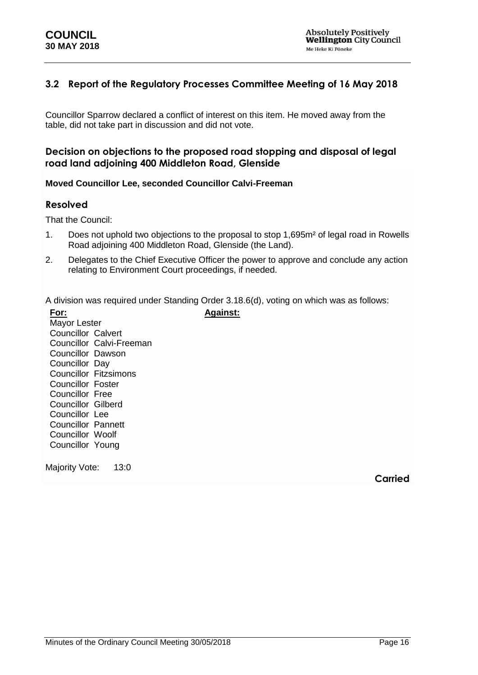## <span id="page-15-0"></span>**3.2 Report of the Regulatory Processes Committee Meeting of 16 May 2018**

Councillor Sparrow declared a conflict of interest on this item. He moved away from the table, did not take part in discussion and did not vote.

#### **Decision on objections to the proposed road stopping and disposal of legal road land adjoining 400 Middleton Road, Glenside**

#### <span id="page-15-1"></span>**Moved Councillor Lee, seconded Councillor Calvi-Freeman**

#### **Resolved**

That the Council:

- 1. Does not uphold two objections to the proposal to stop 1,695m² of legal road in Rowells Road adjoining 400 Middleton Road, Glenside (the Land).
- 2. Delegates to the Chief Executive Officer the power to approve and conclude any action relating to Environment Court proceedings, if needed.

A division was required under Standing Order 3.18.6(d), voting on which was as follows:

**For:** Mayor Lester Councillor Calvert Councillor Calvi-Freeman Councillor Dawson Councillor Day Councillor Fitzsimons Councillor Foster Councillor Free Councillor Gilberd Councillor Lee Councillor Pannett Councillor Woolf Councillor Young **Against:**

Majority Vote: 13:0